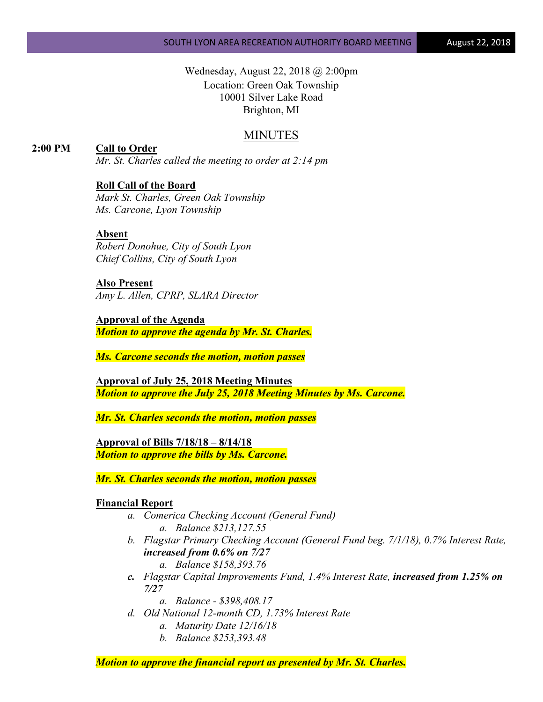Wednesday, August 22, 2018 @ 2:00pm Location: Green Oak Township 10001 Silver Lake Road Brighton, MI

# MINUTES

**2:00 PM Call to Order**

*Mr. St. Charles called the meeting to order at 2:14 pm*

# **Roll Call of the Board**

*Mark St. Charles, Green Oak Township Ms. Carcone, Lyon Township*

# **Absent**

*Robert Donohue, City of South Lyon Chief Collins, City of South Lyon*

**Also Present** *Amy L. Allen, CPRP, SLARA Director*

**Approval of the Agenda** *Motion to approve the agenda by Mr. St. Charles.*

*Ms. Carcone seconds the motion, motion passes*

**Approval of July 25, 2018 Meeting Minutes** *Motion to approve the July 25, 2018 Meeting Minutes by Ms. Carcone.*

*Mr. St. Charles seconds the motion, motion passes*

**Approval of Bills 7/18/18 – 8/14/18** *Motion to approve the bills by Ms. Carcone.*

*Mr. St. Charles seconds the motion, motion passes*

# **Financial Report**

- *a. Comerica Checking Account (General Fund) a. Balance \$213,127.55*
- *b. Flagstar Primary Checking Account (General Fund beg. 7/1/18), 0.7% Interest Rate, increased from 0.6% on 7/27 a. Balance \$158,393.76*
- *c. Flagstar Capital Improvements Fund, 1.4% Interest Rate, increased from 1.25% on 7/27*

*a. Balance - \$398,408.17*

- *d. Old National 12-month CD, 1.73% Interest Rate*
	- *a. Maturity Date 12/16/18*
	- *b. Balance \$253,393.48*

*Motion to approve the financial report as presented by Mr. St. Charles.*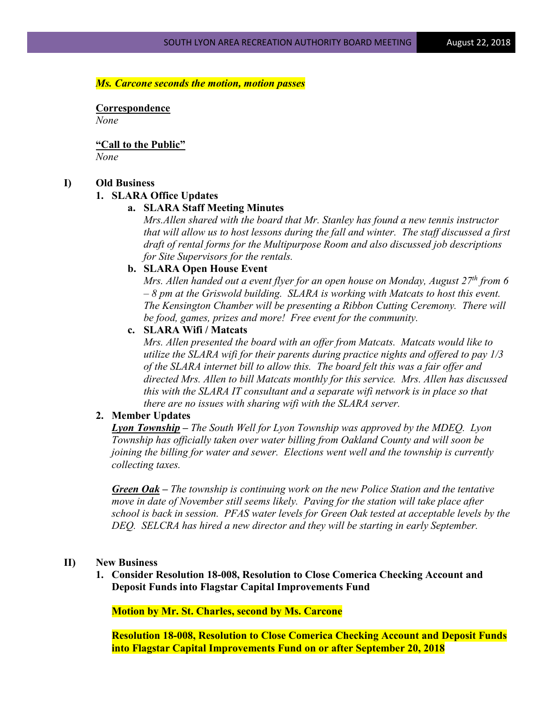#### *Ms. Carcone seconds the motion, motion passes*

**Correspondence** *None*

**"Call to the Public"** *None*

#### **I) Old Business**

#### **1. SLARA Office Updates**

## **a. SLARA Staff Meeting Minutes**

*Mrs.Allen shared with the board that Mr. Stanley has found a new tennis instructor that will allow us to host lessons during the fall and winter. The staff discussed a first draft of rental forms for the Multipurpose Room and also discussed job descriptions for Site Supervisors for the rentals.*

#### **b. SLARA Open House Event**

*Mrs. Allen handed out a event flyer for an open house on Monday, August 27<sup>th</sup> from 6 – 8 pm at the Griswold building. SLARA is working with Matcats to host this event. The Kensington Chamber will be presenting a Ribbon Cutting Ceremony. There will be food, games, prizes and more! Free event for the community.*

#### **c. SLARA Wifi / Matcats**

*Mrs. Allen presented the board with an offer from Matcats. Matcats would like to utilize the SLARA wifi for their parents during practice nights and offered to pay 1/3 of the SLARA internet bill to allow this. The board felt this was a fair offer and directed Mrs. Allen to bill Matcats monthly for this service. Mrs. Allen has discussed this with the SLARA IT consultant and a separate wifi network is in place so that there are no issues with sharing wifi with the SLARA server.*

## **2. Member Updates**

*Lyon Township – The South Well for Lyon Township was approved by the MDEQ. Lyon Township has officially taken over water billing from Oakland County and will soon be joining the billing for water and sewer. Elections went well and the township is currently collecting taxes.*

*Green Oak – The township is continuing work on the new Police Station and the tentative move in date of November still seems likely. Paving for the station will take place after school is back in session. PFAS water levels for Green Oak tested at acceptable levels by the DEQ. SELCRA has hired a new director and they will be starting in early September.*

## **II) New Business**

**1. Consider Resolution 18-008, Resolution to Close Comerica Checking Account and Deposit Funds into Flagstar Capital Improvements Fund**

**Motion by Mr. St. Charles, second by Ms. Carcone**

**Resolution 18-008, Resolution to Close Comerica Checking Account and Deposit Funds into Flagstar Capital Improvements Fund on or after September 20, 2018**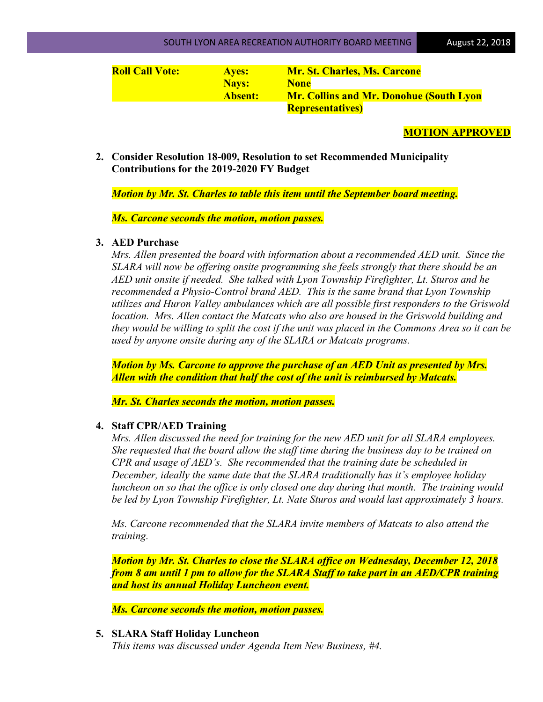| <b>Roll Call Vote:</b> | <b>Aves:</b>   | <b>Mr. St. Charles, Ms. Carcone</b>            |
|------------------------|----------------|------------------------------------------------|
|                        | <b>Nays:</b>   | <b>None</b>                                    |
|                        | <b>Absent:</b> | <b>Mr. Collins and Mr. Donohue (South Lyon</b> |
|                        |                | <b>Representatives</b> )                       |

# **MOTION APPROVED**

**2. Consider Resolution 18-009, Resolution to set Recommended Municipality Contributions for the 2019-2020 FY Budget**

*Motion by Mr. St. Charles to table this item until the September board meeting.*

*Ms. Carcone seconds the motion, motion passes.*

## **3. AED Purchase**

*Mrs. Allen presented the board with information about a recommended AED unit. Since the SLARA will now be offering onsite programming she feels strongly that there should be an AED unit onsite if needed. She talked with Lyon Township Firefighter, Lt. Sturos and he recommended a Physio-Control brand AED. This is the same brand that Lyon Township utilizes and Huron Valley ambulances which are all possible first responders to the Griswold location. Mrs. Allen contact the Matcats who also are housed in the Griswold building and they would be willing to split the cost if the unit was placed in the Commons Area so it can be used by anyone onsite during any of the SLARA or Matcats programs.* 

*Motion by Ms. Carcone to approve the purchase of an AED Unit as presented by Mrs. Allen with the condition that half the cost of the unit is reimbursed by Matcats.*

*Mr. St. Charles seconds the motion, motion passes.*

## **4. Staff CPR/AED Training**

*Mrs. Allen discussed the need for training for the new AED unit for all SLARA employees. She requested that the board allow the staff time during the business day to be trained on CPR and usage of AED's. She recommended that the training date be scheduled in December, ideally the same date that the SLARA traditionally has it's employee holiday luncheon on so that the office is only closed one day during that month. The training would be led by Lyon Township Firefighter, Lt. Nate Sturos and would last approximately 3 hours.* 

*Ms. Carcone recommended that the SLARA invite members of Matcats to also attend the training.*

*Motion by Mr. St. Charles to close the SLARA office on Wednesday, December 12, 2018 from 8 am until 1 pm to allow for the SLARA Staff to take part in an AED/CPR training and host its annual Holiday Luncheon event.*

*Ms. Carcone seconds the motion, motion passes.*

# **5. SLARA Staff Holiday Luncheon**

*This items was discussed under Agenda Item New Business, #4.*